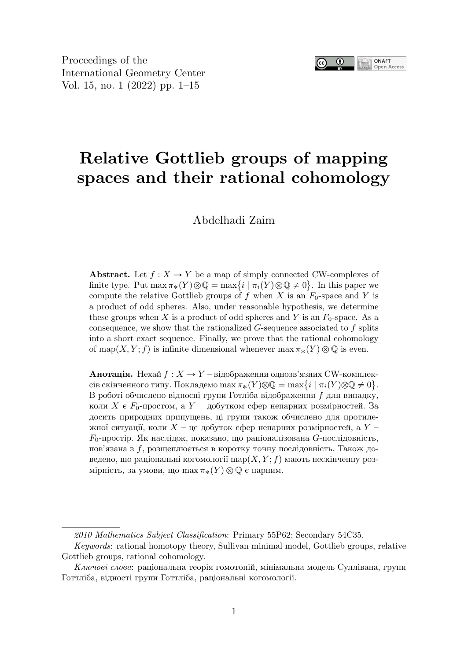

Proceedings of the International Geometry Center Vol. 15, no. 1 (2022) pp. 1–15

# **Relative Gottlieb groups of mapping spaces and their rational cohomology**

Abdelhadi Zaim

**Abstract.** Let  $f: X \to Y$  be a map of simply connected CW-complexes of finite type. Put  $\max \pi_*(Y) \otimes \mathbb{Q} = \max\{i \mid \pi_i(Y) \otimes \mathbb{Q} \neq 0\}$ . In this paper we compute the relative Gottlieb groups of f when X is an  $F_0$ -space and Y is a product of odd spheres. Also, under reasonable hypothesis, we determine these groups when  $X$  is a product of odd spheres and  $Y$  is an  $F_0$ -space. As a consequence, we show that the rationalized  $G$ -sequence associated to  $f$  splits into a short exact sequence. Finally, we prove that the rational cohomology of map(X, Y; f) is infinite dimensional whenever  $\max \pi_*(Y) \otimes \mathbb{Q}$  is even.

**Анотація.** Нехай  $f: X \rightarrow Y$  – відображення однозв'язних CW-комплексів скінченного типу. Покладемо  $\max \pi_*(Y) \otimes \mathbb{Q} = \max\{i \mid \pi_i(Y) \otimes \mathbb{Q} \neq 0\}.$ В роботі обчислено відносні групи Готліба відображення  $f$  для випадку, коли  $X \in F_0$ -простом, а  $Y - \mu$ обутком сфер непарних розмірностей. За досить природних припущень, ці групи також обчислено для протилежної ситуації, коли  $X$  – це добуток сфер непарних розмірностей, а  $Y$  – F0-простір. Як наслідок, показано, що раціоналізована G-послідовність, пов'язана з f, розщеплюється в коротку точну послідовність. Також доведено, що раціональні когомології  $\text{map}(X, Y; f)$  мають нескінченну розмірність, за умови, що  $\max \pi_*(Y) \otimes \mathbb{Q}$  є парним.

*<sup>2010</sup> Mathematics Subject Classification*: Primary 55P62; Secondary 54C35.

*Keywords*: rational homotopy theory, Sullivan minimal model, Gottlieb groups, relative Gottlieb groups, rational cohomology.

*Ключові слова*: раціональна теорія гомотопій, мінімальна модель Суллівана, групи Готтліба, відності групи Готтліба, раціональні когомології.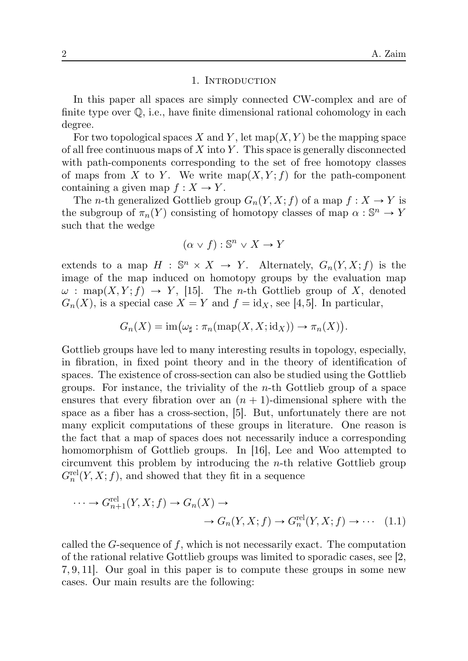#### 1. INTRODUCTiON

In this paper all spaces are simply connected CW-complex and are of finite type over Q, i.e., have finite dimensional rational cohomology in each degree.

For two topological spaces X and Y, let  $map(X, Y)$  be the mapping space of all free continuous maps of  $X$  into  $Y$ . This space is generally disconnected with path-components corresponding to the set of free homotopy classes of maps from X to Y. We write  $\text{map}(X, Y; f)$  for the path-component containing a given map  $f: X \to Y$ .

The *n*-th generalized Gottlieb group  $G_n(Y, X; f)$  of a map  $f: X \to Y$  is the subgroup of  $\pi_n(Y)$  consisting of homotopy classes of map  $\alpha : \mathbb{S}^n \to Y$ such that the wedge

$$
(\alpha \vee f) : \mathbb{S}^n \vee X \to Y
$$

extends to a map  $H : \mathbb{S}^n \times X \to Y$ . Alternately,  $G_n(Y, X; f)$  is the image of the map induced on homotopy groups by the evaluation map  $\omega$ : map $(X, Y; f) \rightarrow Y$ , [15]. The *n*-th Gottlieb group of X, denoted  $G_n(X)$ , is a special case  $X = Y$  and  $f = id_X$ , see [4,5]. In particular,

$$
G_n(X) = \operatorname{im}(\omega_{\sharp} : \pi_n(\operatorname{map}(X, X; \operatorname{id}_X)) \to \pi_n(X)).
$$

Gottlieb groups have led to many interesting results in topology, especially, in fibration, in fixed point theory and in the theory of identification of spaces. The existence of cross-section can also be studied using the Gottlieb groups. For instance, the triviality of the  $n$ -th Gottlieb group of a space ensures that every fibration over an  $(n + 1)$ -dimensional sphere with the space as a fiber has a cross-section, [5]. But, unfortunately there are not many explicit computations of these groups in literature. One reason is the fact that a map of spaces does not necessarily induce a corresponding homomorphism of Gottlieb groups. In [16], Lee and Woo attempted to circumvent this problem by introducing the n-th relative Gottlieb group  $G_n^{\text{rel}}(Y, X; f)$ , and showed that they fit in a sequence

$$
\cdots \to G_{n+1}^{\text{rel}}(Y, X; f) \to G_n(X) \to
$$
  

$$
\to G_n(Y, X; f) \to G_n^{\text{rel}}(Y, X; f) \to \cdots
$$
 (1.1)

called the  $G$ -sequence of  $f$ , which is not necessarily exact. The computation of the rational relative Gottlieb groups was limited to sporadic cases, see [2, 7, 9, 11]. Our goal in this paper is to compute these groups in some new cases. Our main results are the following: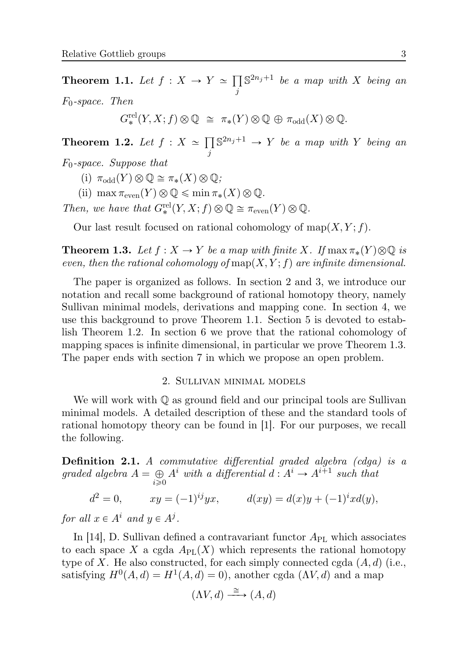**Theorem 1.1.** Let  $f: X \to Y \simeq \prod S^{2n_j+1}$  be a map with X being an j F0*-space. Then*

$$
G^{\text{rel}}_{*}(Y, X; f) \otimes \mathbb{Q} \cong \pi_{*}(Y) \otimes \mathbb{Q} \oplus \pi_{\text{odd}}(X) \otimes \mathbb{Q}.
$$

**Theorem 1.2.** *Let*  $f : X \simeq \prod$ j  $\mathbb{S}^{2n_j+1} \to Y$  *be a map with* Y *being an* 

F0*-space. Suppose that*

(i)  $\pi_{\text{odd}}(Y) \otimes \mathbb{Q} \cong \pi_*(X) \otimes \mathbb{Q}$ ;

(ii)  $\max \pi_{\text{even}}(Y) \otimes \mathbb{Q} \leq \min \pi_*(X) \otimes \mathbb{Q}$ .

*Then, we have that*  $G^{\text{rel}}_*(Y, X; f) \otimes \mathbb{Q} \cong \pi_{\text{even}}(Y) \otimes \mathbb{Q}$ .

Our last result focused on rational cohomology of  $map(X, Y; f)$ .

**Theorem 1.3.** Let  $f: X \to Y$  be a map with finite X. If  $\max \pi_*(Y) \otimes \mathbb{Q}$  is *even, then the rational cohomology of* map( $X, Y$ ; f) are infinite dimensional.

The paper is organized as follows. In section 2 and 3, we introduce our notation and recall some background of rational homotopy theory, namely Sullivan minimal models, derivations and mapping cone. In section 4, we use this background to prove Theorem 1.1. Section 5 is devoted to establish Theorem 1.2. In section 6 we prove that the rational cohomology of mapping spaces is infinite dimensional, in particular we prove Theorem 1.3. The paper ends with section 7 in which we propose an open problem.

#### 2. SULLiVAN MiNiMAL MODELS

We will work with  $\mathbb Q$  as ground field and our principal tools are Sullivan minimal models. A detailed description of these and the standard tools of rational homotopy theory can be found in [1]. For our purposes, we recall the following.

**Definition 2.1.** *A commutative differential graded algebra (cdga) is a* graded algebra  $A = \bigoplus_{i \geq 0} A^i$  with a differential  $d : A^i \to A^{i+1}$  such that

 $d^2 = 0,$   $xy = (-1)^{ij}yx,$   $d(xy) = d(x)y + (-1)^{i}xd(y),$ 

*for all*  $x \in A^i$  *and*  $y \in A^j$ *.* 

In [14], D. Sullivan defined a contravariant functor  $A_{\rm PL}$  which associates to each space X a cgda  $A_{\text{PL}}(X)$  which represents the rational homotopy type of X. He also constructed, for each simply connected cgda  $(A, d)$  (i.e., satisfying  $H^0(A, d) = H^1(A, d) = 0$ , another cgda  $(\Lambda V, d)$  and a map

$$
(\Lambda V, d) \xrightarrow{\cong} (A, d)
$$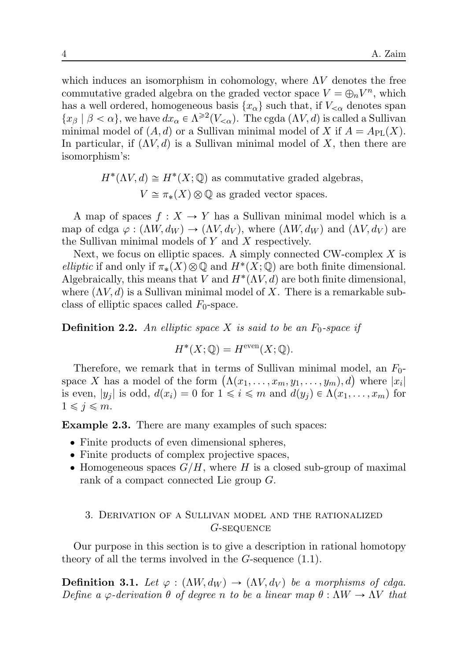which induces an isomorphism in cohomology, where  $\Lambda V$  denotes the free commutative graded algebra on the graded vector space  $V = \bigoplus_n V^n$ , which has a well ordered, homogeneous basis  $\{x_\alpha\}$  such that, if  $V_{\leq \alpha}$  denotes span  $\{x_\beta \mid \beta < \alpha\}$ , we have  $dx_\alpha \in \Lambda^{\geq 2}(V_{\leq \alpha})$ . The cgda  $(\Lambda V, d)$  is called a Sullivan minimal model of  $(A, d)$  or a Sullivan minimal model of X if  $A = A_{PL}(X)$ . In particular, if  $(\Lambda V, d)$  is a Sullivan minimal model of X, then there are isomorphism's:

$$
H^*(\Lambda V, d) \cong H^*(X; \mathbb{Q})
$$
 as commutative graded algebras,  

$$
V \cong \pi_*(X) \otimes \mathbb{Q}
$$
 as graded vector spaces.

A map of spaces  $f: X \to Y$  has a Sullivan minimal model which is a map of cdga  $\varphi : (\Lambda W, d_W) \to (\Lambda V, d_V)$ , where  $(\Lambda W, d_W)$  and  $(\Lambda V, d_V)$  are the Sullivan minimal models of Y and X respectively.

Next, we focus on elliptic spaces. A simply connected CW-complex  $X$  is *elliptic* if and only if  $\pi_*(X) \otimes \mathbb{Q}$  and  $H^*(X; \mathbb{Q})$  are both finite dimensional. Algebraically, this means that V and  $H^*(\Lambda V, d)$  are both finite dimensional, where  $(\Lambda V, d)$  is a Sullivan minimal model of X. There is a remarkable subclass of elliptic spaces called  $F_0$ -space.

**Definition 2.2.** An elliptic space X is said to be an  $F_0$ -space if

$$
H^*(X; \mathbb{Q}) = H^{\text{even}}(X; \mathbb{Q}).
$$

Therefore, we remark that in terms of Sullivan minimal model, an  $F_0$ space X has a model of the form  $(\Lambda(x_1, \ldots, x_m, y_1, \ldots, y_m), d)$  where  $|x_i|$ is even,  $|y_i|$  is odd,  $d(x_i) = 0$  for  $1 \leq i \leq m$  and  $d(y_i) \in \Lambda(x_1, \ldots, x_m)$  for  $1 \leqslant j \leqslant m$ .

**Example 2.3.** There are many examples of such spaces:

- ' Finite products of even dimensional spheres,
- ' Finite products of complex projective spaces,
- $\bullet$  Homogeneous spaces  $G/H$ , where H is a closed sub-group of maximal rank of a compact connected Lie group G.

# 3. DERiVATiON OF A SULLiVAN MODEL AND THE RATiONALiZED G-SEQUENCE

Our purpose in this section is to give a description in rational homotopy theory of all the terms involved in the  $G$ -sequence  $(1.1)$ .

**Definition 3.1.** *Let*  $\varphi : (\Lambda W, d_W) \to (\Lambda V, d_V)$  *be a morphisms of cdga. Define a*  $\varphi$ -derivation  $\theta$  *of degree n* to be a linear map  $\theta$  :  $\Lambda W \to \Lambda V$  that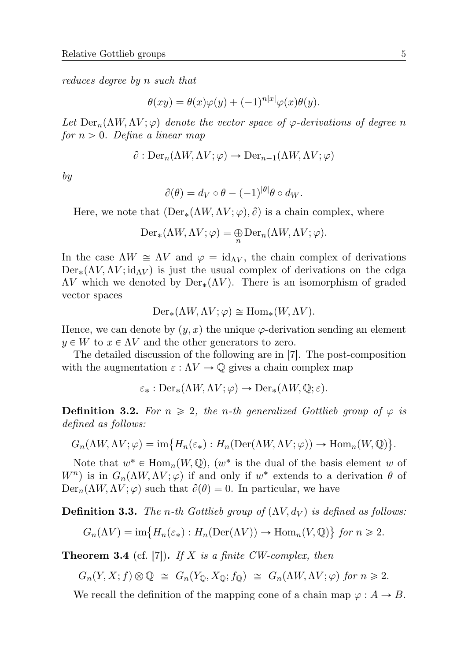*reduces degree by* n *such that*

$$
\theta(xy) = \theta(x)\varphi(y) + (-1)^{n|x|}\varphi(x)\theta(y).
$$

Let  $\text{Der}_n(\Lambda W, \Lambda V; \varphi)$  *denote the vector space of*  $\varphi$ *-derivations of degree n for*  $n > 0$ *. Define a linear map* 

$$
\partial : \mathrm{Der}_n(\Lambda W, \Lambda V; \varphi) \to \mathrm{Der}_{n-1}(\Lambda W, \Lambda V; \varphi)
$$

*by*

$$
\partial(\theta) = d_V \circ \theta - (-1)^{|\theta|} \theta \circ d_W.
$$

Here, we note that  $(\text{Der}_*(\Lambda W, \Lambda V; \varphi), \partial)$  is a chain complex, where

$$
\mathrm{Der}_*(\Lambda W, \Lambda V; \varphi) = \bigoplus_n \mathrm{Der}_n(\Lambda W, \Lambda V; \varphi).
$$

In the case  $\Lambda W \cong \Lambda V$  and  $\varphi = \mathrm{id}_{\Lambda V}$ , the chain complex of derivations  $Der_{*}(\Lambda V, \Lambda V; id_{\Lambda V})$  is just the usual complex of derivations on the cdga  $\Lambda V$  which we denoted by  $Der_{*}(\Lambda V)$ . There is an isomorphism of graded vector spaces

$$
\mathrm{Der}_*(\Lambda W, \Lambda V; \varphi) \cong \mathrm{Hom}_*(W, \Lambda V).
$$

Hence, we can denote by  $(y, x)$  the unique  $\varphi$ -derivation sending an element  $y \in W$  to  $x \in \Lambda V$  and the other generators to zero.

The detailed discussion of the following are in [7]. The post-composition with the augmentation  $\varepsilon : \Lambda V \to \mathbb{Q}$  gives a chain complex map

$$
\varepsilon_* : \mathrm{Der}_*(\Lambda W, \Lambda V; \varphi) \to \mathrm{Der}_*(\Lambda W, \mathbb{Q}; \varepsilon).
$$

**Definition 3.2.** For  $n \geq 2$ , the n-th generalized Gottlieb group of  $\varphi$  is *defined as follows:*

$$
G_n(\Lambda W, \Lambda V; \varphi) = \text{im}\big\{H_n(\varepsilon_*) : H_n(\text{Der}(\Lambda W, \Lambda V; \varphi)) \to \text{Hom}_n(W, \mathbb{Q})\big\}.
$$

Note that  $w^* \in \text{Hom}_n(W, \mathbb{Q})$ ,  $(w^*$  is the dual of the basis element w of  $W^{n}$ ) is in  $G_{n}(\Lambda W, \Lambda V; \varphi)$  if and only if  $w^{*}$  extends to a derivation  $\theta$  of  $\text{Der}_n(\Lambda W, \Lambda V; \varphi)$  such that  $\partial(\theta) = 0$ . In particular, we have

**Definition 3.3.** *The n-th Gottlieb group of*  $(\Lambda V, d_V)$  *is defined as follows:* 

$$
G_n(\Lambda V) = \text{im}\{H_n(\varepsilon_*) : H_n(\text{Der}(\Lambda V)) \to \text{Hom}_n(V, \mathbb{Q})\} \text{ for } n \geq 2.
$$

**Theorem 3.4** (cf. [7])**.** *If* X *is a finite CW-complex, then*

$$
G_n(Y, X; f) \otimes \mathbb{Q} \cong G_n(Y_{\mathbb{Q}}, X_{\mathbb{Q}}; f_{\mathbb{Q}}) \cong G_n(\Lambda W, \Lambda V; \varphi) \text{ for } n \geq 2.
$$

We recall the definition of the mapping cone of a chain map  $\varphi : A \to B$ .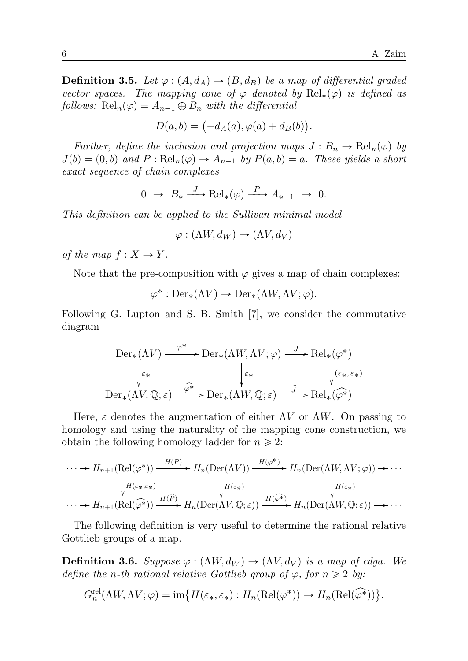**Definition 3.5.** *Let*  $\varphi$  :  $(A, d_A) \rightarrow (B, d_B)$  *be a map of differential graded vector spaces. The mapping cone of*  $\varphi$  *denoted by*  $\text{Rel}_*(\varphi)$  *is defined as follows:*  $\text{Rel}_n(\varphi) = A_{n-1} \oplus B_n$  *with the differential* 

$$
D(a,b) = \bigl(-d_A(a),\varphi(a)+d_B(b)\bigr).
$$

*Further, define the inclusion and projection maps*  $J : B_n \to \text{Rel}_n(\varphi)$  *by*  $J(b) = (0, b)$  and  $P : Rel_n(\varphi) \to A_{n-1}$  by  $P(a, b) = a$ . These yields a short *exact sequence of chain complexes*

$$
0 \to B_* \xrightarrow{J} \text{Rel}_*(\varphi) \xrightarrow{P} A_{*-1} \to 0.
$$

*This definition can be applied to the Sullivan minimal model*

$$
\varphi : (\Lambda W, d_W) \to (\Lambda V, d_V)
$$

*of the map*  $f: X \rightarrow Y$ *.* 

Note that the pre-composition with  $\varphi$  gives a map of chain complexes:

$$
\varphi^* : \mathrm{Der}_*(\Lambda V) \to \mathrm{Der}_*(\Lambda W, \Lambda V; \varphi).
$$

Following G. Lupton and S. B. Smith [7], we consider the commutative diagram

$$
\operatorname{Der}_*(\Lambda V) \xrightarrow{\varphi^*} \operatorname{Der}_*(\Lambda W, \Lambda V; \varphi) \xrightarrow{J} \operatorname{Rel}_*(\varphi^*)
$$
  

$$
\downarrow_{\varepsilon_*} \qquad \qquad \downarrow_{\varepsilon_*} \qquad \qquad \downarrow_{(\varepsilon_*, \varepsilon_*)}
$$
  

$$
\operatorname{Der}_*(\Lambda V, \mathbb{Q}; \varepsilon) \xrightarrow{\widehat{\varphi^*}} \operatorname{Der}_*(\Lambda W, \mathbb{Q}; \varepsilon) \xrightarrow{\widehat{J}} \operatorname{Rel}_*(\widehat{\varphi^*})
$$

Here,  $\varepsilon$  denotes the augmentation of either  $\Lambda V$  or  $\Lambda W$ . On passing to homology and using the naturality of the mapping cone construction, we obtain the following homology ladder for  $n \geq 2$ :

$$
\cdots \to H_{n+1}(\mathrm{Rel}(\varphi^*)) \xrightarrow{H(P)} H_n(\mathrm{Der}(\Lambda V)) \xrightarrow{H(\varphi^*)} H_n(\mathrm{Der}(\Lambda W, \Lambda V; \varphi)) \to \cdots
$$
  
\n
$$
\downarrow H(\varepsilon_*, \varepsilon_*) \qquad \qquad \downarrow H(\varepsilon_*)
$$
  
\n
$$
\cdots \to H_{n+1}(\mathrm{Rel}(\widehat{\varphi^*})) \xrightarrow{H(\widehat{P})} H_n(\mathrm{Der}(\Lambda V, \mathbb{Q}; \varepsilon)) \xrightarrow{H(\widehat{\varphi^*})} H_n(\mathrm{Der}(\Lambda W, \mathbb{Q}; \varepsilon)) \to \cdots
$$

The following definition is very useful to determine the rational relative Gottlieb groups of a map.

**Definition 3.6.** *Suppose*  $\varphi : (\Lambda W, d_W) \to (\Lambda V, d_V)$  *is a map of cdga. We define the n*-th rational relative Gottlieb group of  $\varphi$ , for  $n \geq 2$  *by:* 

$$
G_n^{\text{rel}}(\Lambda W, \Lambda V; \varphi) = \text{im}\big\{H(\varepsilon_*, \varepsilon_*) : H_n(\text{Rel}(\varphi^*)) \to H_n(\text{Rel}(\widehat{\varphi^*}))\big\}.
$$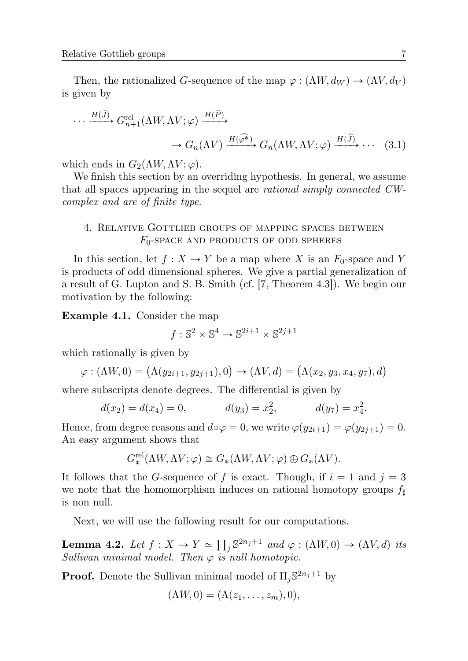Then, the rationalized G-sequence of the map  $\varphi : (\Lambda W, d_W) \to (\Lambda V, d_V)$ is given by

$$
\cdots \xrightarrow{H(\hat{J})} G_{n+1}^{\text{rel}}(\Lambda W, \Lambda V; \varphi) \xrightarrow{H(\hat{P})} G_n(\Lambda W, \Lambda V; \varphi) \xrightarrow{H(\hat{J})} \cdots \qquad (3.1)
$$

which ends in  $G_2(\Lambda W, \Lambda V; \varphi)$ .

We finish this section by an overriding hypothesis. In general, we assume that all spaces appearing in the sequel are *rational simply connected CWcomplex and are of finite type*.

# 4. RELATiVE GOTTLiEB GROUPS OF MAPPiNG SPACES BETWEEN  $F_0$ -SPACE AND PRODUCTS OF ODD SPHERES

In this section, let  $f: X \to Y$  be a map where X is an  $F_0$ -space and Y is products of odd dimensional spheres. We give a partial generalization of a result of G. Lupton and S. B. Smith (cf. [7, Theorem 4.3]). We begin our motivation by the following:

**Example 4.1.** Consider the map

$$
f: \mathbb{S}^2 \times \mathbb{S}^4 \to \mathbb{S}^{2i+1} \times \mathbb{S}^{2j+1}
$$

which rationally is given by

$$
\varphi : (\Lambda W, 0) = (\Lambda (y_{2i+1}, y_{2j+1}), 0) \to (\Lambda V, d) = (\Lambda (x_2, y_3, x_4, y_7), d)
$$

where subscripts denote degrees. The differential is given by

$$
d(x_2) = d(x_4) = 0, \t d(y_3) = x_2^2, \t d(y_7) = x_4^2.
$$

Hence, from degree reasons and  $d \circ \varphi = 0$ , we write  $\varphi(y_{2i+1}) = \varphi(y_{2i+1}) = 0$ . An easy argument shows that

$$
G^{\textup{rel}}_*(\Lambda W, \Lambda V; \varphi) \cong G_*(\Lambda W, \Lambda V; \varphi) \oplus G_*(\Lambda V).
$$

It follows that the G-sequence of f is exact. Though, if  $i = 1$  and  $j = 3$ we note that the homomorphism induces on rational homotopy groups  $f_{\sharp}$ is non null.

Next, we will use the following result for our computations.

**Lemma 4.2.** *Let*  $f: X \to Y \simeq \prod_j \mathbb{S}^{2n_j+1}$  *and*  $\varphi: (\Lambda W, 0) \to (\Lambda V, d)$  *its*  $Sultivan minimal model. Then  $\varphi$  is null homotopic.$ 

**Proof.** Denote the Sullivan minimal model of  $\Pi_j \mathbb{S}^{2n_j+1}$  by

$$
(\Lambda W, 0) = (\Lambda(z_1, \ldots, z_m), 0),
$$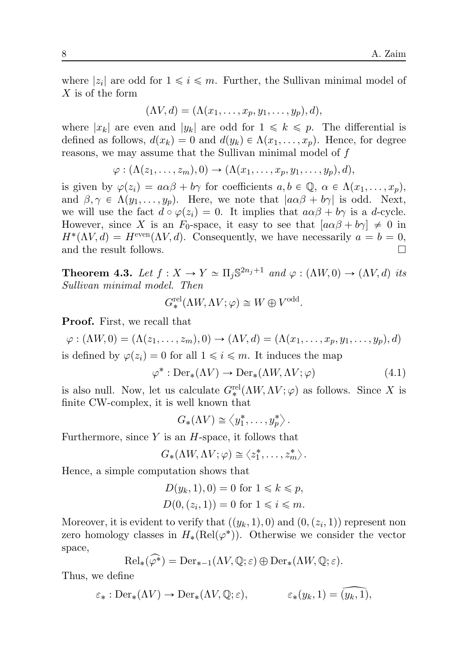where  $|z_i|$  are odd for  $1 \leq i \leq m$ . Further, the Sullivan minimal model of X is of the form

$$
(\Lambda V, d) = (\Lambda(x_1, \ldots, x_p, y_1, \ldots, y_p), d),
$$

where  $|x_k|$  are even and  $|y_k|$  are odd for  $1 \leq k \leq p$ . The differential is defined as follows,  $d(x_k) = 0$  and  $d(y_k) \in \Lambda(x_1, \ldots, x_p)$ . Hence, for degree reasons, we may assume that the Sullivan minimal model of f

$$
\varphi: (\Lambda(z_1,\ldots,z_m),0) \to (\Lambda(x_1,\ldots,x_p,y_1,\ldots,y_p),d),
$$

is given by  $\varphi(z_i) = a\alpha\beta + b\gamma$  for coefficients  $a, b \in \mathbb{Q}, \alpha \in \Lambda(x_1, \ldots, x_p)$ , and  $\beta, \gamma \in \Lambda(y_1, \ldots, y_p)$ . Here, we note that  $|a\alpha\beta + b\gamma|$  is odd. Next, we will use the fact  $d \circ \varphi(z_i) = 0$ . It implies that  $a \alpha \beta + b \gamma$  is a d-cycle. However, since X is an  $F_0$ -space, it easy to see that  $[a\alpha\beta + b\gamma] \neq 0$  in  $H^*(\Lambda V, d) = H^{\text{even}}(\Lambda V, d)$ . Consequently, we have necessarily  $a = b = 0$ , and the result follows. □

**Theorem 4.3.** Let  $f: X \to Y \simeq \Pi_j \mathbb{S}^{2n_j+1}$  and  $\varphi: (\Lambda W, 0) \to (\Lambda V, d)$  its *Sullivan minimal model. Then*

$$
G^{\text{rel}}_*(\Lambda W, \Lambda V; \varphi) \cong W \oplus V^{\text{odd}}.
$$

**Proof.** First, we recall that

 $\varphi : (\Lambda W, 0) = (\Lambda(z_1, \ldots, z_m), 0) \to (\Lambda V, d) = (\Lambda(x_1, \ldots, x_n, y_1, \ldots, y_n), d)$ is defined by  $\varphi(z_i) = 0$  for all  $1 \leq i \leq m$ . It induces the map

$$
\varphi^* : \text{Der}_*(\Lambda V) \to \text{Der}_*(\Lambda W, \Lambda V; \varphi) \tag{4.1}
$$

is also null. Now, let us calculate  $G_*^{\text{rel}}(\Lambda W, \Lambda V; \varphi)$  as follows. Since X is finite CW-complex, it is well known that

$$
G_*(\Lambda V) \cong \langle y_1^*, \ldots, y_p^* \rangle.
$$

Furthermore, since  $Y$  is an  $H$ -space, it follows that

$$
G_*(\Lambda W, \Lambda V; \varphi) \cong \langle z_1^*, \ldots, z_m^* \rangle.
$$

Hence, a simple computation shows that

$$
D(y_k, 1), 0) = 0 \text{ for } 1 \le k \le p,
$$
  

$$
D(0, (z_i, 1)) = 0 \text{ for } 1 \le i \le m.
$$

Moreover, it is evident to verify that  $((y_k, 1), 0)$  and  $(0, (z_i, 1))$  represent non zero homology classes in  $H_*(\mathrm{Rel}(\varphi^*))$ . Otherwise we consider the vector space,

$$
\mathrm{Rel}_*(\widehat{\varphi^*}) = \mathrm{Der}_{*-1}(\Lambda V, \mathbb{Q}; \varepsilon) \oplus \mathrm{Der}_*(\Lambda W, \mathbb{Q}; \varepsilon).
$$

Thus, we define

$$
\varepsilon_* : \text{Der}_*(\Lambda V) \to \text{Der}_*(\Lambda V, \mathbb{Q}; \varepsilon), \qquad \varepsilon_*(y_k, 1) = (y_k, 1),
$$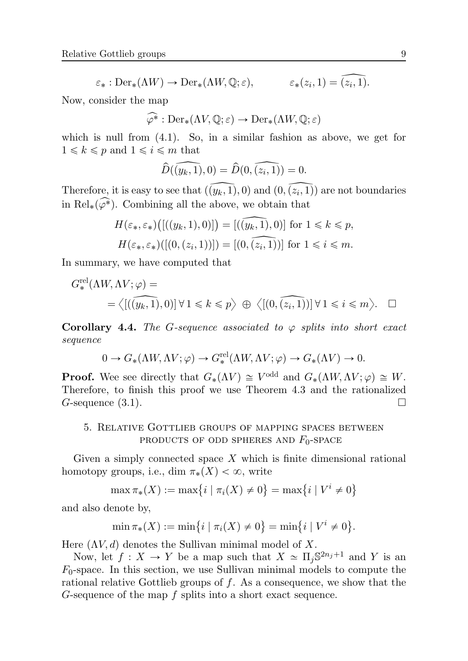$$
\varepsilon_* : \text{Der}_*(\Lambda W) \to \text{Der}_*(\Lambda W, \mathbb{Q}; \varepsilon), \qquad \varepsilon_*(z_i, 1) = \widehat{(z_i, 1)}.
$$

Now, consider the map

$$
\widehat{\varphi^*}: \mathrm{Der}_*(\Lambda V, \mathbb{Q}; \varepsilon) \to \mathrm{Der}_*(\Lambda W, \mathbb{Q}; \varepsilon)
$$

which is null from  $(4.1)$ . So, in a similar fashion as above, we get for  $1 \leq k \leq p$  and  $1 \leq i \leq m$  that

$$
\widehat{D}(\widehat{(y_k,1)},0)=\widehat{D}(0,\widehat{(z_i,1)})=0.
$$

Therefore, it is easy to see that  $((y_k, 1), 0)$  and  $(0, (z_i, 1))$  are not boundaries in Rel<sub>\*</sub>( $\widehat{\varphi^*}$ ). Combining all the above, we obtain that

$$
H(\varepsilon_*, \varepsilon_*)\big([(y_k, 1), 0)]\big) = [(\overline{(y_k, 1)}, 0)] \text{ for } 1 \le k \le p,
$$
  

$$
H(\varepsilon_*, \varepsilon_*)\big([(0, (z_i, 1))] \big) = [(0, \overline{(z_i, 1)})] \text{ for } 1 \le i \le m.
$$

In summary, we have computed that

$$
G^{\text{rel}}_{*}(\Lambda W, \Lambda V; \varphi) =
$$
  
=  $\langle [(\widehat{y_k, 1}), 0)] \forall 1 \le k \le p \rangle \oplus \langle [(0, \widehat{(z_i, 1)})] \forall 1 \le i \le m \rangle$ .  $\square$ 

**Corollary 4.4.** *The G-sequence associated to*  $\varphi$  *splits into short exact sequence*

$$
0 \to G_*(\Lambda W, \Lambda V; \varphi) \to G_*^{\text{rel}}(\Lambda W, \Lambda V; \varphi) \to G_*(\Lambda V) \to 0.
$$

**Proof.** Wee see directly that  $G_*(\Lambda V) \cong V^{\text{odd}}$  and  $G_*(\Lambda W, \Lambda V; \varphi) \cong W$ . Therefore, to finish this proof we use Theorem 4.3 and the rationalized G-sequence  $(3.1)$ .

# 5. RELATiVE GOTTLiEB GROUPS OF MAPPiNG SPACES BETWEEN PRODUCTS OF ODD SPHERES AND  $F_0$ -SPACE

Given a simply connected space  $X$  which is finite dimensional rational homotopy groups, i.e., dim  $\pi_*(X) < \infty$ , write

$$
\max \pi_*(X) := \max\{i \mid \pi_i(X) \neq 0\} = \max\{i \mid V^i \neq 0\}
$$

and also denote by,

$$
\min \pi_*(X) := \min\{i \mid \pi_i(X) \neq 0\} = \min\{i \mid V^i \neq 0\}.
$$

Here  $(\Lambda V, d)$  denotes the Sullivan minimal model of X.

Now, let  $f: X \to Y$  be a map such that  $X \simeq \Pi_j \mathbb{S}^{2n_j+1}$  and Y is an  $F_0$ -space. In this section, we use Sullivan minimal models to compute the rational relative Gottlieb groups of f. As a consequence, we show that the G-sequence of the map f splits into a short exact sequence.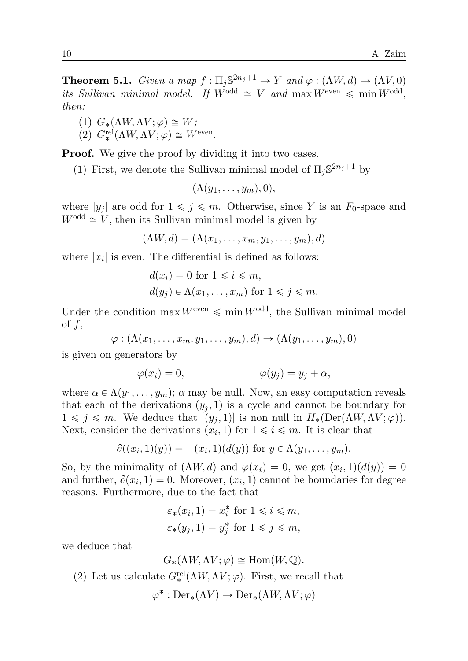**Theorem 5.1.** *Given a map*  $f: \Pi_j \mathbb{S}^{2n_j+1} \to Y$  *and*  $\varphi: (\Lambda W, d) \to (\Lambda V, 0)$ *its Sullivan minimal model.* If  $W^{\text{odd}} \cong V$  and  $\max W^{\text{even}} \leq \min W^{\text{odd}}$ , *then:*

(1) 
$$
G_*(\Lambda W, \Lambda V; \varphi) \cong W;
$$

(2) 
$$
G^{\text{rel}}_*(\Lambda W, \Lambda V; \varphi) \cong W^{\text{even}}.
$$

**Proof.** We give the proof by dividing it into two cases.

(1) First, we denote the Sullivan minimal model of  $\Pi_j \mathbb{S}^{2n_j+1}$  by

$$
(\Lambda(y_1,\ldots,y_m),0),
$$

where  $|y_j|$  are odd for  $1 \leq j \leq m$ . Otherwise, since Y is an  $F_0$ -space and  $W^{\text{odd}} \cong V$ , then its Sullivan minimal model is given by

$$
(\Lambda W, d) = (\Lambda(x_1, \ldots, x_m, y_1, \ldots, y_m), d)
$$

where  $|x_i|$  is even. The differential is defined as follows:

$$
d(x_i) = 0 \text{ for } 1 \leq i \leq m,
$$
  
 
$$
d(y_j) \in \Lambda(x_1, \dots, x_m) \text{ for } 1 \leq j \leq m.
$$

Under the condition max  $W^{\text{even}} \leq \min W^{\text{odd}}$ , the Sullivan minimal model of  $f$ ,

$$
\varphi: (\Lambda(x_1,\ldots,x_m,y_1,\ldots,y_m),d)\to (\Lambda(y_1,\ldots,y_m),0)
$$

is given on generators by

$$
\varphi(x_i) = 0, \qquad \varphi(y_j) = y_j + \alpha,
$$

where  $\alpha \in \Lambda(y_1, \ldots, y_m)$ ;  $\alpha$  may be null. Now, an easy computation reveals that each of the derivations  $(y_i, 1)$  is a cycle and cannot be boundary for  $1 \leq j \leq m$ . We deduce that  $[(y_j, 1)]$  is non null in  $H_*(Der(\Lambda W, \Lambda V; \varphi))$ . Next, consider the derivations  $(x_i, 1)$  for  $1 \leq i \leq m$ . It is clear that

$$
\partial((x_i,1)(y)) = -(x_i,1)(d(y))
$$
 for  $y \in \Lambda(y_1,\ldots,y_m)$ .

So, by the minimality of  $(\Lambda W, d)$  and  $\varphi(x_i) = 0$ , we get  $(x_i, 1)(d(y)) = 0$ and further,  $\partial(x_i, 1) = 0$ . Moreover,  $(x_i, 1)$  cannot be boundaries for degree reasons. Furthermore, due to the fact that

$$
\varepsilon_*(x_i, 1) = x_i^* \text{ for } 1 \le i \le m,
$$
  

$$
\varepsilon_*(y_j, 1) = y_j^* \text{ for } 1 \le j \le m,
$$

we deduce that

$$
G_*(\Lambda W, \Lambda V; \varphi) \cong \text{Hom}(W, \mathbb{Q}).
$$

(2) Let us calculate  $G_*^{\text{rel}}(\Lambda W, \Lambda V; \varphi)$ . First, we recall that

$$
\varphi^* : \mathrm{Der}_*(\Lambda V) \to \mathrm{Der}_*(\Lambda W, \Lambda V; \varphi)
$$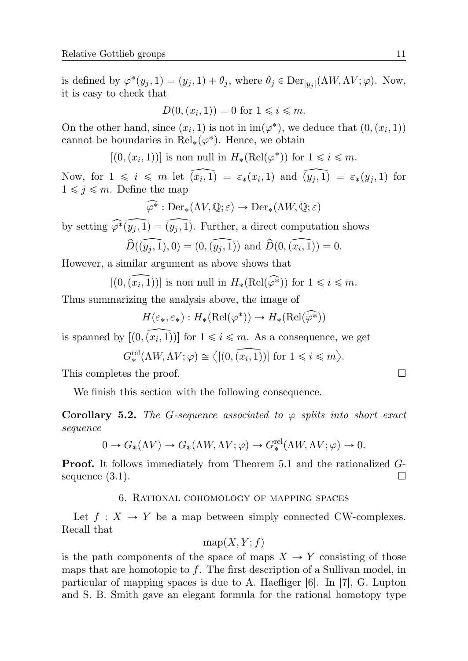is defined by  $\varphi^*(y_j, 1) = (y_j, 1) + \theta_j$ , where  $\theta_j \in \text{Der}_{|y_j|}(\Lambda W, \Lambda V; \varphi)$ . Now, it is easy to check that

$$
D(0, (x_i, 1)) = 0 \text{ for } 1 \leq i \leq m.
$$

On the other hand, since  $(x_i, 1)$  is not in  $\text{im}(\varphi^*)$ , we deduce that  $(0, (x_i, 1))$ cannot be boundaries in  $\text{Rel}_*(\varphi^*)$ . Hence, we obtain

 $[(0, (x_i, 1))]$  is non null in  $H_*(\text{Rel}(\varphi^*))$  for  $1 \leq i \leq m$ .

Now, for  $1 \leq i \leq m$  let  $(x_i, 1) = \varepsilon_*(x_i, 1)$  and  $(y_j, 1) = \varepsilon_*(y_j, 1)$  for  $1 \leq j \leq m$ . Define the map

$$
\widehat{\varphi^*}: \mathrm{Der}_*(\Lambda V, \mathbb{Q}; \varepsilon) \to \mathrm{Der}_*(\Lambda W, \mathbb{Q}; \varepsilon)
$$

by setting  $\widehat{\varphi^*(y_i,1)} = \widehat{(y_i,1)}$ . Further, a direct computation shows

$$
\widehat{D}(\widehat{(y_j, 1)}, 0) = (0, \widehat{(y_j, 1)})
$$
 and  $\widehat{D}(0, \widehat{(x_i, 1)}) = 0$ .

However, a similar argument as above shows that

 $[(0, (x_i, 1))]$  is non null in  $H_*(\text{Rel}(\varphi^*))$  for  $1 \leq i \leq m$ .

Thus summarizing the analysis above, the image of

$$
H(\varepsilon_*, \varepsilon_*) : H_*(\mathrm{Rel}(\varphi^*)) \to H_*(\mathrm{Rel}(\varphi^*))
$$

is spanned by  $[(0, (x_i, 1))]$  for  $1 \le i \le m$ . As a consequence, we get

$$
G^{\text{rel}}_{*}(\Lambda W, \Lambda V; \varphi) \cong \langle [0, \widehat{(x_i, 1)})] \text{ for } 1 \leq i \leq m \rangle.
$$

This completes the proof.  $\Box$ 

We finish this section with the following consequence.

**Corollary 5.2.** *The G-sequence associated to*  $\varphi$  *splits into short exact sequence*

$$
0 \to G_*(\Lambda V) \to G_*(\Lambda W, \Lambda V; \varphi) \to G_*^{\text{rel}}(\Lambda W, \Lambda V; \varphi) \to 0.
$$

**Proof.** It follows immediately from Theorem 5.1 and the rationalized Gsequence  $(3.1)$ .  $\Box$ 

## 6. RATiONAL COHOMOLOGY OF MAPPiNG SPACES

Let  $f: X \to Y$  be a map between simply connected CW-complexes. Recall that

### $map(X, Y; f)$

is the path components of the space of maps  $X \to Y$  consisting of those maps that are homotopic to f. The first description of a Sullivan model, in particular of mapping spaces is due to A. Haefliger [6]. In [7], G. Lupton and S. B. Smith gave an elegant formula for the rational homotopy type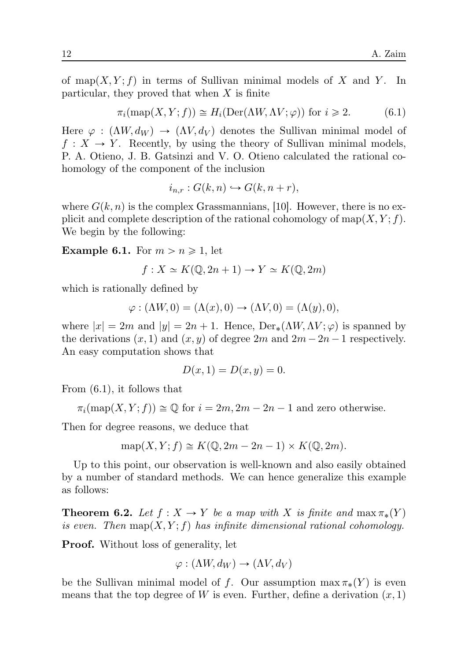of map $(X, Y; f)$  in terms of Sullivan minimal models of X and Y. In particular, they proved that when  $X$  is finite

$$
\pi_i(\text{map}(X, Y; f)) \cong H_i(\text{Der}(\Lambda W, \Lambda V; \varphi)) \text{ for } i \geq 2. \tag{6.1}
$$

Here  $\varphi$ :  $(\Lambda W, d_W) \to (\Lambda V, d_V)$  denotes the Sullivan minimal model of  $f: X \to Y$ . Recently, by using the theory of Sullivan minimal models, P. A. Otieno, J. B. Gatsinzi and V. O. Otieno calculated the rational cohomology of the component of the inclusion

$$
i_{n,r}: G(k,n) \hookrightarrow G(k,n+r),
$$

where  $G(k, n)$  is the complex Grassmannians, [10]. However, there is no explicit and complete description of the rational cohomology of map $(X, Y; f)$ . We begin by the following:

**Example 6.1.** For  $m > n \geq 1$ , let

$$
f: X \simeq K(\mathbb{Q}, 2n+1) \to Y \simeq K(\mathbb{Q}, 2m)
$$

which is rationally defined by

$$
\varphi : (\Lambda W, 0) = (\Lambda(x), 0) \to (\Lambda V, 0) = (\Lambda(y), 0),
$$

where  $|x| = 2m$  and  $|y| = 2n + 1$ . Hence,  $\text{Der}_*(\Lambda W, \Lambda V; \varphi)$  is spanned by the derivations  $(x, 1)$  and  $(x, y)$  of degree  $2m$  and  $2m - 2n - 1$  respectively. An easy computation shows that

$$
D(x,1) = D(x,y) = 0.
$$

From (6.1), it follows that

 $\pi_i(\text{map}(X, Y; f)) \cong \mathbb{O}$  for  $i = 2m, 2m - 2n - 1$  and zero otherwise.

Then for degree reasons, we deduce that

$$
\operatorname{map}(X, Y; f) \cong K(\mathbb{Q}, 2m - 2n - 1) \times K(\mathbb{Q}, 2m).
$$

Up to this point, our observation is well-known and also easily obtained by a number of standard methods. We can hence generalize this example as follows:

**Theorem 6.2.** *Let*  $f : X \to Y$  *be a map with* X *is finite and*  $\max \pi_*(Y)$ *is even.* Then  $map(X, Y; f)$  *has infinite dimensional rational cohomology.* 

**Proof.** Without loss of generality, let

$$
\varphi : (\Lambda W, d_W) \to (\Lambda V, d_V)
$$

be the Sullivan minimal model of f. Our assumption  $\max \pi_*(Y)$  is even means that the top degree of W is even. Further, define a derivation  $(x, 1)$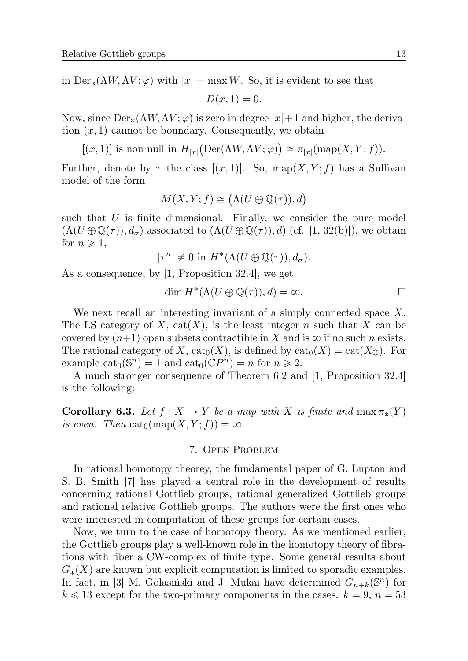in  $Der_{*}(\Lambda W, \Lambda V; \varphi)$  with  $|x| = \max W$ . So, it is evident to see that

$$
D(x,1)=0.
$$

Now, since  $Der_{*}(\Lambda W, \Lambda V; \varphi)$  is zero in degree  $|x|+1$  and higher, the derivation  $(x, 1)$  cannot be boundary. Consequently, we obtain

 $[(x, 1)]$  is non null in  $H_{|x|}(\text{Der}(\Lambda W, \Lambda V; \varphi)) \cong \pi_{|x|}(\text{map}(X, Y; f)).$ 

Further, denote by  $\tau$  the class  $[(x, 1)]$ . So, map $(X, Y; f)$  has a Sullivan model of the form

$$
M(X,Y;f) \cong \bigl(\Lambda(U \oplus \mathbb{Q}(\tau)),d\bigr)
$$

such that  $U$  is finite dimensional. Finally, we consider the pure model  $(\Lambda(U \oplus \mathbb{Q}(\tau)), d_{\sigma})$  associated to  $(\Lambda(U \oplus \mathbb{Q}(\tau)), d)$  (cf. [1, 32(b)]), we obtain for  $n \geqslant 1$ ,

$$
[\tau^n] \neq 0 \text{ in } H^*(\Lambda(U \oplus \mathbb{Q}(\tau)), d_{\sigma}).
$$

As a consequence, by [1, Proposition 32.4], we get

$$
\dim H^*(\Lambda(U \oplus \mathbb{Q}(\tau)), d) = \infty. \square
$$

We next recall an interesting invariant of a simply connected space X. The LS category of X,  $cat(X)$ , is the least integer n such that X can be covered by  $(n+1)$  open subsets contractible in X and is  $\infty$  if no such n exists. The rational category of X,  $\text{cat}_0(X)$ , is defined by  $\text{cat}_0(X) = \text{cat}(X_0)$ . For example  $\text{cat}_0(\mathbb{S}^n) = 1$  and  $\text{cat}_0(\mathbb{C}P^n) = n$  for  $n \ge 2$ .

A much stronger consequence of Theorem 6.2 and [1, Proposition 32.4] is the following:

**Corollary 6.3.** *Let*  $f : X \to Y$  *be a map with* X *is finite and*  $\max \pi_*(Y)$ *is even.* Then  $\text{cat}_0(\text{map}(X, Y; f)) = \infty$ .

## 7. OPEN PROBLEM

In rational homotopy theorey, the fundamental paper of G. Lupton and S. B. Smith [7] has played a central role in the development of results concerning rational Gottlieb groups, rational generalized Gottlieb groups and rational relative Gottlieb groups. The authors were the first ones who were interested in computation of these groups for certain cases.

Now, we turn to the case of homotopy theory. As we mentioned earlier, the Gottlieb groups play a well-known role in the homotopy theory of fibrations with fiber a CW-complex of finite type. Some general results about  $G_*(X)$  are known but explicit computation is limited to sporadic examples. In fact, in [3] M. Golasiński and J. Mukai have determined  $G_{n+k}(\mathbb{S}^n)$  for  $k \leq 13$  except for the two-primary components in the cases:  $k = 9, n = 53$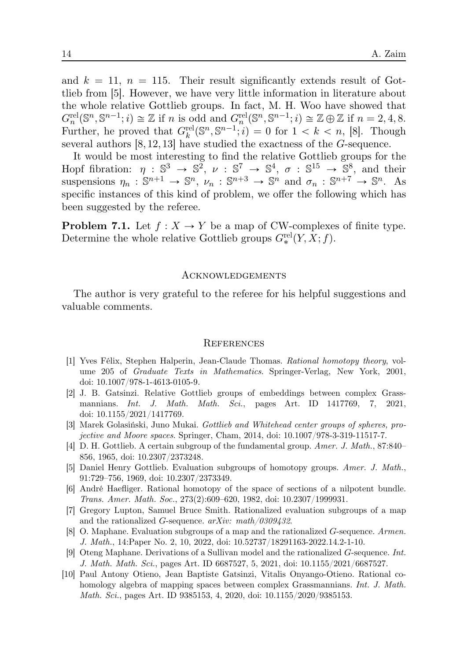and  $k = 11$ ,  $n = 115$ . Their result significantly extends result of Gottlieb from [5]. However, we have very little information in literature about the whole relative Gottlieb groups. In fact, M. H. Woo have showed that  $G_n^{\text{rel}}(\mathbb{S}^n,\mathbb{S}^{n-1};i) \cong \mathbb{Z}$  if n is odd and  $G_n^{\text{rel}}(\mathbb{S}^n,\mathbb{S}^{n-1};i) \cong \mathbb{Z} \oplus \mathbb{Z}$  if  $n=2,4,8$ . Further, he proved that  $G_k^{\text{rel}}(\mathbb{S}^n, \mathbb{S}^{n-1}; i) = 0$  for  $1 < k < n$ , [8]. Though several authors [8, 12, 13] have studied the exactness of the G-sequence.

It would be most interesting to find the relative Gottlieb groups for the Hopf fibration:  $\eta : \mathbb{S}^3 \to \mathbb{S}^2$ ,  $\nu : \mathbb{S}^7 \to \mathbb{S}^4$ ,  $\sigma : \mathbb{S}^{15} \to \mathbb{S}^8$ , and their suspensions  $\eta_n : \mathbb{S}^{n+1} \to \mathbb{S}^n$ ,  $\nu_n : \mathbb{S}^{n+3} \to \mathbb{S}^n$  and  $\sigma_n : \mathbb{S}^{n+7} \to \mathbb{S}^n$ . As specific instances of this kind of problem, we offer the following which has been suggested by the referee.

**Problem 7.1.** Let  $f : X \to Y$  be a map of CW-complexes of finite type. Determine the whole relative Gottlieb groups  $G_*^{\text{rel}}(Y, X; f)$ .

#### ACKNOWLEDGEMENTS

The author is very grateful to the referee for his helpful suggestions and valuable comments.

#### **REFERENCES**

- [1] Yves Félix, Stephen Halperin, Jean-Claude Thomas. *Rational homotopy theory*, volume 205 of *Graduate Texts in Mathematics*. Springer-Verlag, New York, 2001, doi: 10.1007/978-1-4613-0105-9.
- [2] J. B. Gatsinzi. Relative Gottlieb groups of embeddings between complex Grassmannians. *Int. J. Math. Math. Sci.*, pages Art. ID 1417769, 7, 2021, doi: 10.1155/2021/1417769.
- [3] Marek Golasiński, Juno Mukai. *Gottlieb and Whitehead center groups of spheres, projective and Moore spaces*. Springer, Cham, 2014, doi: 10.1007/978-3-319-11517-7.
- [4] D. H. Gottlieb. A certain subgroup of the fundamental group. *Amer. J. Math.*, 87:840– 856, 1965, doi: 10.2307/2373248.
- [5] Daniel Henry Gottlieb. Evaluation subgroups of homotopy groups. *Amer. J. Math.*, 91:729–756, 1969, doi: 10.2307/2373349.
- [6] André Haefliger. Rational homotopy of the space of sections of a nilpotent bundle. *Trans. Amer. Math. Soc.*, 273(2):609–620, 1982, doi: 10.2307/1999931.
- [7] Gregory Lupton, Samuel Bruce Smith. Rationalized evaluation subgroups of a map and the rationalized G-sequence. *arXiv: math/0309432*.
- [8] O. Maphane. Evaluation subgroups of a map and the rationalized G-sequence. *Armen. J. Math.*, 14:Paper No. 2, 10, 2022, doi: 10.52737/18291163-2022.14.2-1-10.
- [9] Oteng Maphane. Derivations of a Sullivan model and the rationalized G-sequence. *Int. J. Math. Math. Sci.*, pages Art. ID 6687527, 5, 2021, doi: 10.1155/2021/6687527.
- [10] Paul Antony Otieno, Jean Baptiste Gatsinzi, Vitalis Onyango-Otieno. Rational cohomology algebra of mapping spaces between complex Grassmannians. *Int. J. Math. Math. Sci.*, pages Art. ID 9385153, 4, 2020, doi: 10.1155/2020/9385153.